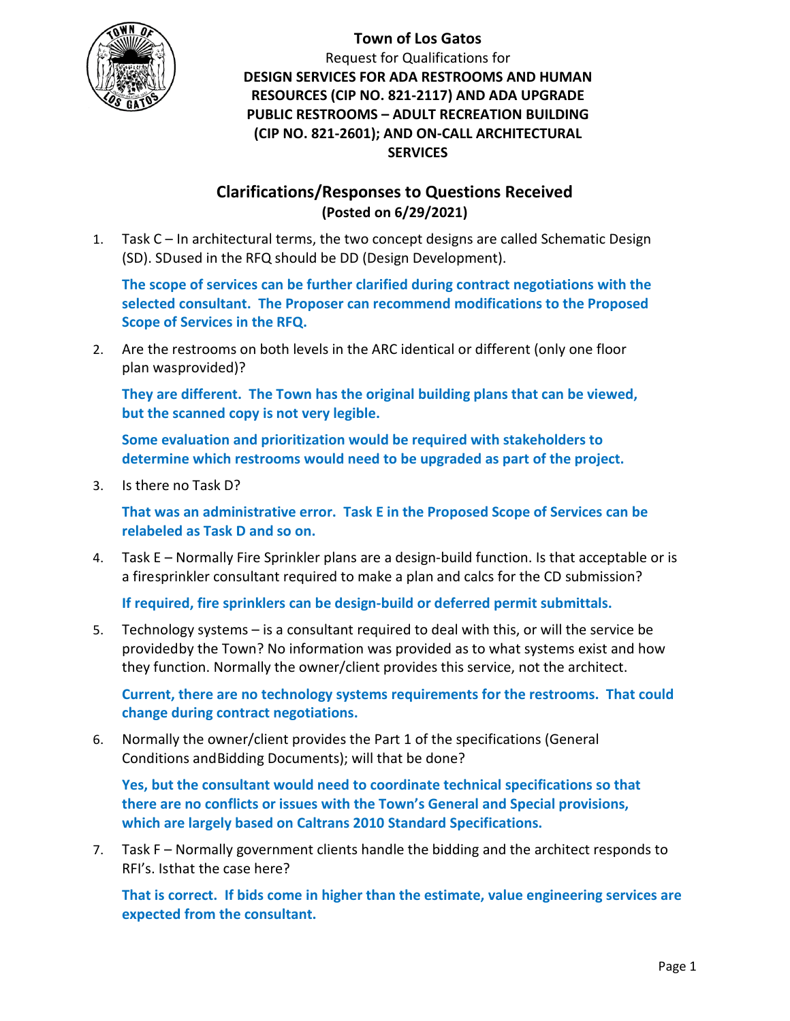

## **Town of Los Gatos**

Request for Qualifications for **DESIGN SERVICES FOR ADA RESTROOMS AND HUMAN RESOURCES (CIP NO. 821-2117) AND ADA UPGRADE PUBLIC RESTROOMS – ADULT RECREATION BUILDING (CIP NO. 821-2601); AND ON-CALL ARCHITECTURAL SERVICES**

## **Clarifications/Responses to Questions Received (Posted on 6/29/2021)**

1. Task C – In architectural terms, the two concept designs are called Schematic Design (SD). SDused in the RFQ should be DD (Design Development).

**The scope of services can be further clarified during contract negotiations with the selected consultant. The Proposer can recommend modifications to the Proposed Scope of Services in the RFQ.**

2. Are the restrooms on both levels in the ARC identical or different (only one floor plan wasprovided)?

**They are different. The Town has the original building plans that can be viewed, but the scanned copy is not very legible.** 

**Some evaluation and prioritization would be required with stakeholders to determine which restrooms would need to be upgraded as part of the project.** 

3. Is there no Task D?

**That was an administrative error. Task E in the Proposed Scope of Services can be relabeled as Task D and so on.**

4. Task E – Normally Fire Sprinkler plans are a design-build function. Is that acceptable or is a firesprinkler consultant required to make a plan and calcs for the CD submission?

**If required, fire sprinklers can be design-build or deferred permit submittals.**

5. Technology systems – is a consultant required to deal with this, or will the service be providedby the Town? No information was provided as to what systems exist and how they function. Normally the owner/client provides this service, not the architect.

**Current, there are no technology systems requirements for the restrooms. That could change during contract negotiations.**

6. Normally the owner/client provides the Part 1 of the specifications (General Conditions andBidding Documents); will that be done?

**Yes, but the consultant would need to coordinate technical specifications so that there are no conflicts or issues with the Town's General and Special provisions, which are largely based on Caltrans 2010 Standard Specifications.**

7. Task F – Normally government clients handle the bidding and the architect responds to RFI's. Isthat the case here?

**That is correct. If bids come in higher than the estimate, value engineering services are expected from the consultant.**